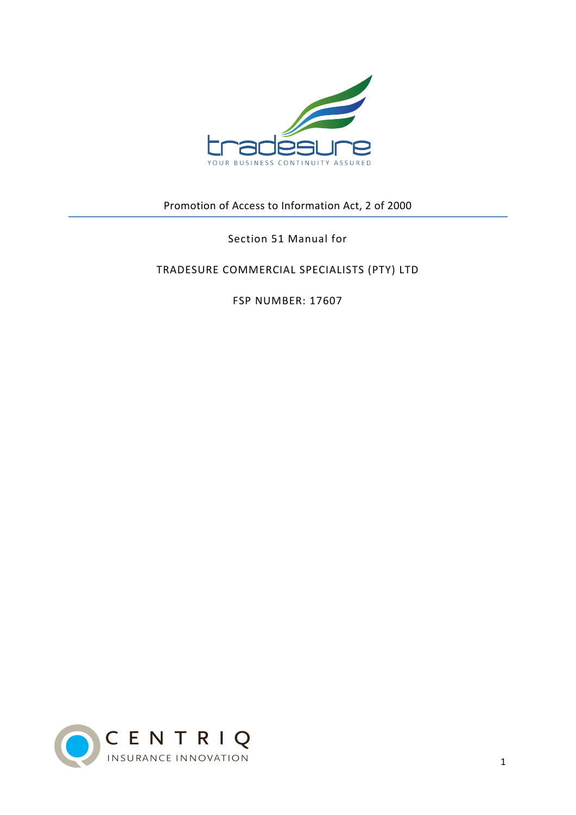

Promotion of Access to Information Act, 2 of 2000

Section 51 Manual for

TRADESURE COMMERCIAL SPECIALISTS (PTY) LTD

FSP NUMBER: 17607

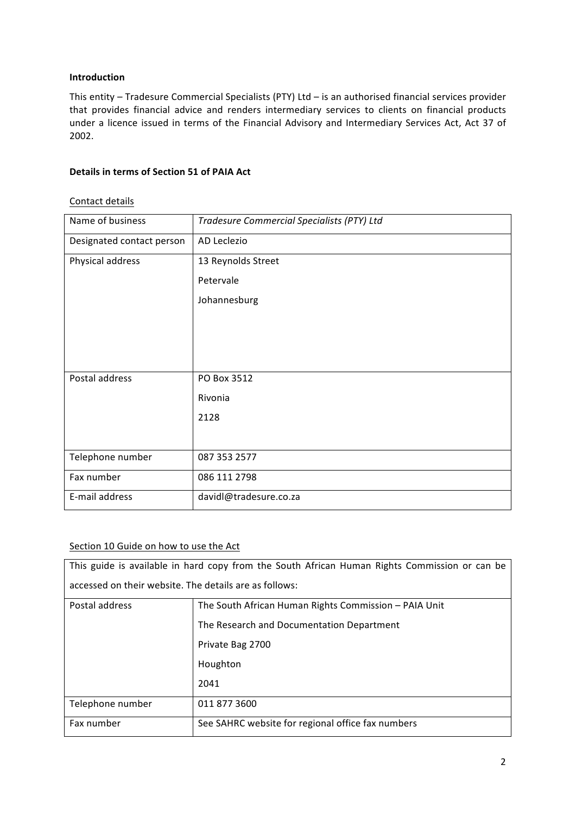# **Introduction**

This entity – Tradesure Commercial Specialists (PTY) Ltd – is an authorised financial services provider that provides financial advice and renders intermediary services to clients on financial products under a licence issued in terms of the Financial Advisory and Intermediary Services Act, Act 37 of 2002.

#### **Details in terms of Section 51 of PAIA Act**

## Contact details

| Name of business          | Tradesure Commercial Specialists (PTY) Ltd |
|---------------------------|--------------------------------------------|
| Designated contact person | AD Leclezio                                |
| Physical address          | 13 Reynolds Street                         |
|                           | Petervale                                  |
|                           | Johannesburg                               |
|                           |                                            |
|                           |                                            |
|                           |                                            |
| Postal address            | PO Box 3512                                |
|                           | Rivonia                                    |
|                           | 2128                                       |
|                           |                                            |
| Telephone number          | 087 353 2577                               |
| Fax number                | 086 111 2798                               |
| E-mail address            | davidl@tradesure.co.za                     |

# Section 10 Guide on how to use the Act

| This guide is available in hard copy from the South African Human Rights Commission or can be |                                                       |  |
|-----------------------------------------------------------------------------------------------|-------------------------------------------------------|--|
| accessed on their website. The details are as follows:                                        |                                                       |  |
| Postal address                                                                                | The South African Human Rights Commission - PAIA Unit |  |
|                                                                                               | The Research and Documentation Department             |  |
|                                                                                               | Private Bag 2700                                      |  |
|                                                                                               | Houghton                                              |  |
|                                                                                               | 2041                                                  |  |
| Telephone number                                                                              | 011 877 3600                                          |  |
| Fax number                                                                                    | See SAHRC website for regional office fax numbers     |  |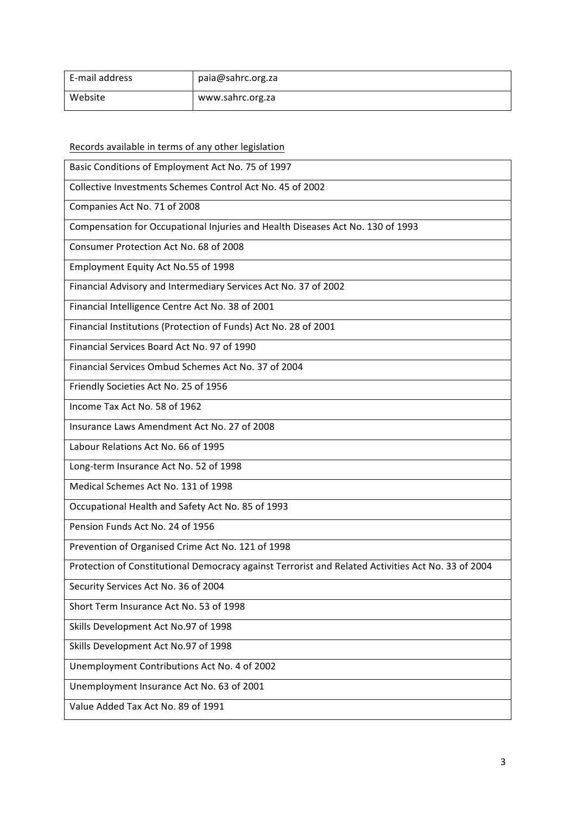| E-mail address | paia@sahrc.org.za |
|----------------|-------------------|
| Website        | www.sahrc.org.za  |

Records available in terms of any other legislation

Basic Conditions of Employment Act No. 75 of 1997

Collective Investments Schemes Control Act No. 45 of 2002

Companies Act No. 71 of 2008

Compensation for Occupational Injuries and Health Diseases Act No. 130 of 1993

Consumer Protection Act No. 68 of 2008

Employment Equity Act No.55 of 1998

Financial Advisory and Intermediary Services Act No. 37 of 2002

Financial Intelligence Centre Act No. 38 of 2001

Financial Institutions (Protection of Funds) Act No. 28 of 2001

Financial Services Board Act No. 97 of 1990

Financial Services Ombud Schemes Act No. 37 of 2004

Friendly Societies Act No. 25 of 1956

Income Tax Act No. 58 of 1962

Insurance Laws Amendment Act No. 27 of 2008

Labour Relations Act No. 66 of 1995

Long-term Insurance Act No. 52 of 1998

Medical Schemes Act No. 131 of 1998

Occupational Health and Safety Act No. 85 of 1993

Pension Funds Act No. 24 of 1956

Prevention of Organised Crime Act No. 121 of 1998

Protection of Constitutional Democracy against Terrorist and Related Activities Act No. 33 of 2004

Security Services Act No. 36 of 2004

Short Term Insurance Act No. 53 of 1998

Skills Development Act No.97 of 1998

Skills Development Act No.97 of 1998

Unemployment Contributions Act No. 4 of 2002

Unemployment Insurance Act No. 63 of 2001

Value Added Tax Act No. 89 of 1991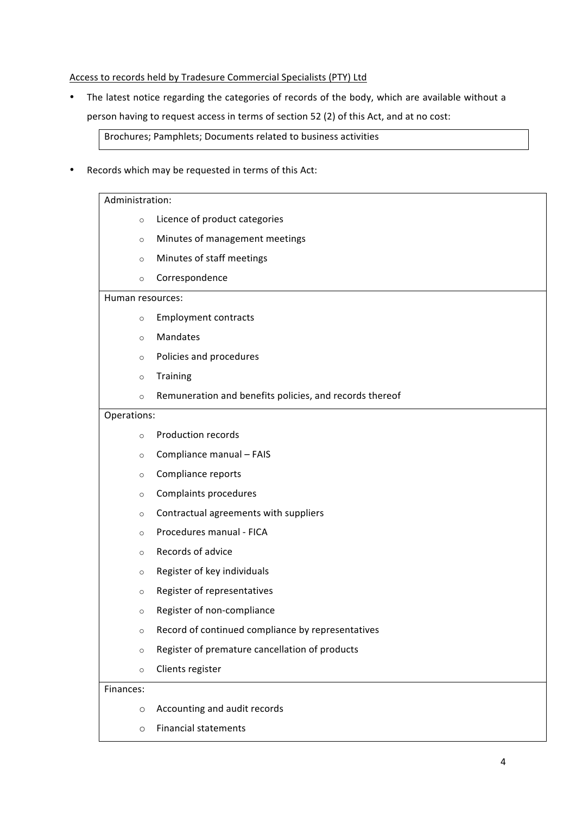#### Access to records held by Tradesure Commercial Specialists (PTY) Ltd

The latest notice regarding the categories of records of the body, which are available without a person having to request access in terms of section 52 (2) of this Act, and at no cost:

Brochures; Pamphlets; Documents related to business activities

Records which may be requested in terms of this Act:

#### Administration:

- o Licence of product categories
- o Minutes of management meetings
- o Minutes of staff meetings
- o Correspondence

#### Human resources:

- $\circ$  Employment contracts
- o Mandates
- $\circ$  Policies and procedures
- o Training
- $\circ$  Remuneration and benefits policies, and records thereof

#### Operations:

- $\circ$  Production records
- $\circ$  Compliance manual FAIS
- o Compliance reports
- $\circ$  Complaints procedures
- $\circ$  Contractual agreements with suppliers
- $\circ$  Procedures manual FICA
- $\circ$  Records of advice
- $\circ$  Register of key individuals
- $\circ$  Register of representatives
- o Register of non-compliance
- o Record of continued compliance by representatives
- $\circ$  Register of premature cancellation of products
- o Clients register

#### Finances:

- $\circ$  Accounting and audit records
- o Financial statements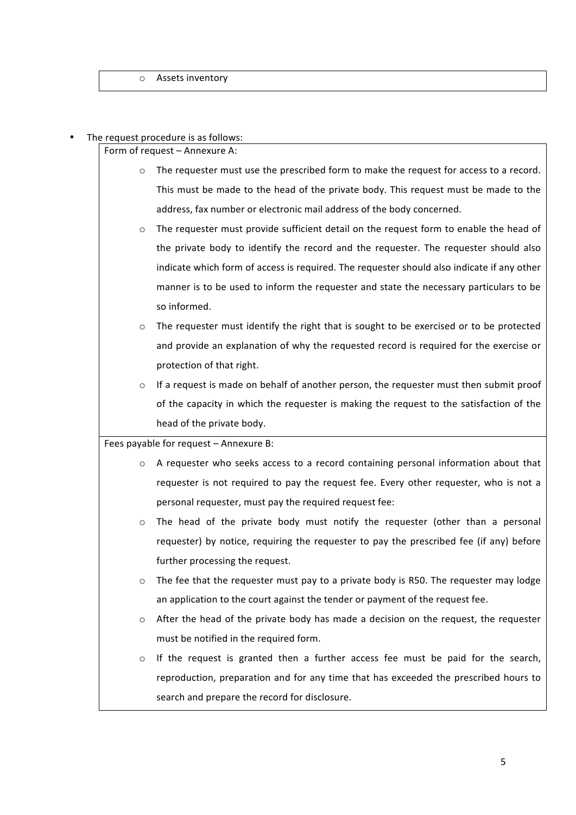#### The request procedure is as follows:

Form of request - Annexure A:

- $\circ$  The requester must use the prescribed form to make the request for access to a record. This must be made to the head of the private body. This request must be made to the address, fax number or electronic mail address of the body concerned.
- $\circ$  The requester must provide sufficient detail on the request form to enable the head of the private body to identify the record and the requester. The requester should also indicate which form of access is required. The requester should also indicate if any other manner is to be used to inform the requester and state the necessary particulars to be so informed.
- $\circ$  The requester must identify the right that is sought to be exercised or to be protected and provide an explanation of why the requested record is required for the exercise or protection of that right.
- $\circ$  If a request is made on behalf of another person, the requester must then submit proof of the capacity in which the requester is making the request to the satisfaction of the head of the private body.

Fees payable for request - Annexure B:

- o A requester who seeks access to a record containing personal information about that requester is not required to pay the request fee. Every other requester, who is not a personal requester, must pay the required request fee:
- $\circ$  The head of the private body must notify the requester (other than a personal requester) by notice, requiring the requester to pay the prescribed fee (if any) before further processing the request.
- $\circ$  The fee that the requester must pay to a private body is R50. The requester may lodge an application to the court against the tender or payment of the request fee.
- $\circ$  After the head of the private body has made a decision on the request, the requester must be notified in the required form.
- $\circ$  If the request is granted then a further access fee must be paid for the search, reproduction, preparation and for any time that has exceeded the prescribed hours to search and prepare the record for disclosure.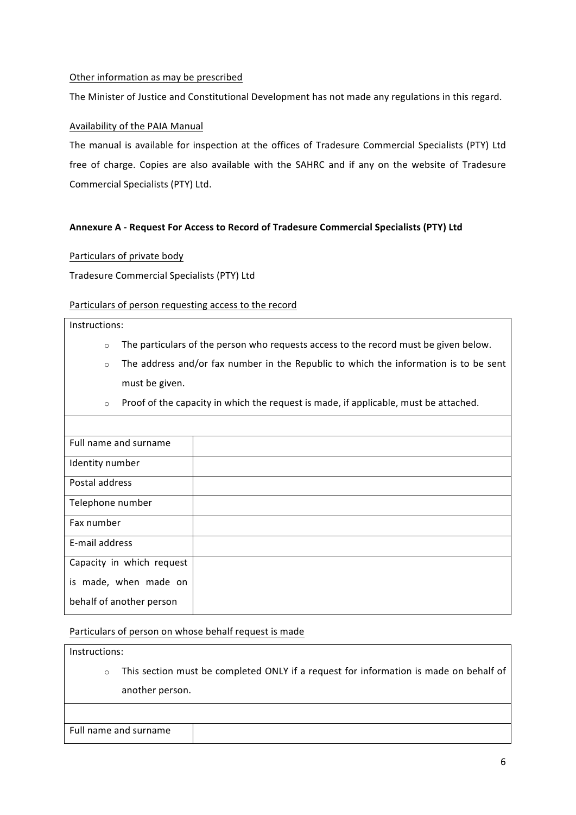## Other information as may be prescribed

The Minister of Justice and Constitutional Development has not made any regulations in this regard.

# Availability of the PAIA Manual

The manual is available for inspection at the offices of Tradesure Commercial Specialists (PTY) Ltd free of charge. Copies are also available with the SAHRC and if any on the website of Tradesure Commercial Specialists (PTY) Ltd.

## **Annexure A - Request For Access to Record of Tradesure Commercial Specialists (PTY) Ltd**

## Particulars of private body

Tradesure Commercial Specialists (PTY) Ltd

## Particulars of person requesting access to the record

#### Instructions:

- $\circ$  The particulars of the person who requests access to the record must be given below.
- $\circ$  The address and/or fax number in the Republic to which the information is to be sent must be given.
- $\circ$  Proof of the capacity in which the request is made, if applicable, must be attached.

| Full name and surname     |  |
|---------------------------|--|
| Identity number           |  |
| Postal address            |  |
| Telephone number          |  |
| Fax number                |  |
| E-mail address            |  |
| Capacity in which request |  |
| is made, when made on     |  |
| behalf of another person  |  |

#### Particulars of person on whose behalf request is made

Instructions:

 $\circ$  This section must be completed ONLY if a request for information is made on behalf of another person.

Full name and surname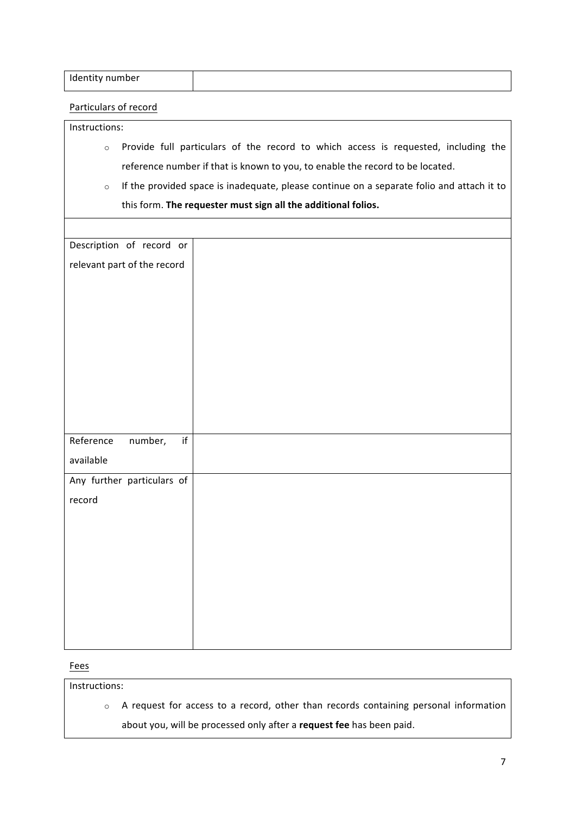| Identity number |  |
|-----------------|--|
|                 |  |

# Particulars of record

Instructions:

- o Provide full particulars of the record to which access is requested, including the reference number if that is known to you, to enable the record to be located.
- $\circ$  If the provided space is inadequate, please continue on a separate folio and attach it to this form. The requester must sign all the additional folios.

| Description of record or    |  |
|-----------------------------|--|
| relevant part of the record |  |
|                             |  |
|                             |  |
|                             |  |
|                             |  |
|                             |  |
|                             |  |
|                             |  |
|                             |  |
|                             |  |
| if<br>Reference<br>number,  |  |
| available                   |  |
| Any further particulars of  |  |
| record                      |  |
|                             |  |
|                             |  |
|                             |  |
|                             |  |
|                             |  |
|                             |  |
|                             |  |
|                             |  |

Fees

Instructions:

o A request for access to a record, other than records containing personal information about you, will be processed only after a request fee has been paid.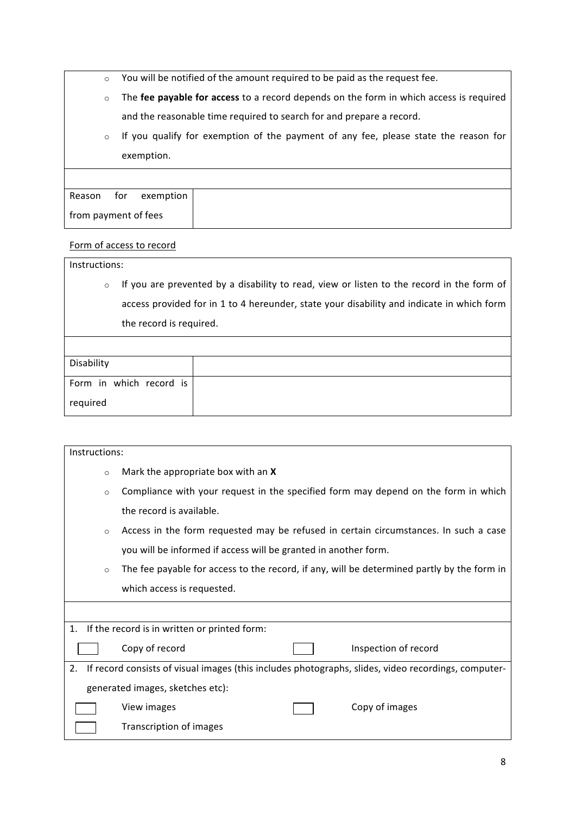|  | You will be notified of the amount required to be paid as the request fee. |  |
|--|----------------------------------------------------------------------------|--|
|--|----------------------------------------------------------------------------|--|

- o The fee payable for access to a record depends on the form in which access is required and the reasonable time required to search for and prepare a record.
- o If you qualify for exemption of the payment of any fee, please state the reason for exemption.

# Form of access to record

Instructions:

o If you are prevented by a disability to read, view or listen to the record in the form of access provided for in 1 to 4 hereunder, state your disability and indicate in which form the record is required.

| Disability              |  |
|-------------------------|--|
|                         |  |
| Form in which record is |  |
|                         |  |
| required                |  |
|                         |  |

| Instructions:                                                                                             |                                                                                            |  |
|-----------------------------------------------------------------------------------------------------------|--------------------------------------------------------------------------------------------|--|
| $\circ$                                                                                                   | Mark the appropriate box with an X                                                         |  |
| $\circ$                                                                                                   | Compliance with your request in the specified form may depend on the form in which         |  |
|                                                                                                           | the record is available.                                                                   |  |
| $\circ$                                                                                                   | Access in the form requested may be refused in certain circumstances. In such a case       |  |
|                                                                                                           | you will be informed if access will be granted in another form.                            |  |
| $\circ$                                                                                                   | The fee payable for access to the record, if any, will be determined partly by the form in |  |
|                                                                                                           | which access is requested.                                                                 |  |
|                                                                                                           |                                                                                            |  |
| 1.                                                                                                        | If the record is in written or printed form:                                               |  |
|                                                                                                           | Copy of record<br>Inspection of record                                                     |  |
| If record consists of visual images (this includes photographs, slides, video recordings, computer-<br>2. |                                                                                            |  |
|                                                                                                           | generated images, sketches etc):                                                           |  |
|                                                                                                           | Copy of images<br>View images                                                              |  |
|                                                                                                           | Transcription of images                                                                    |  |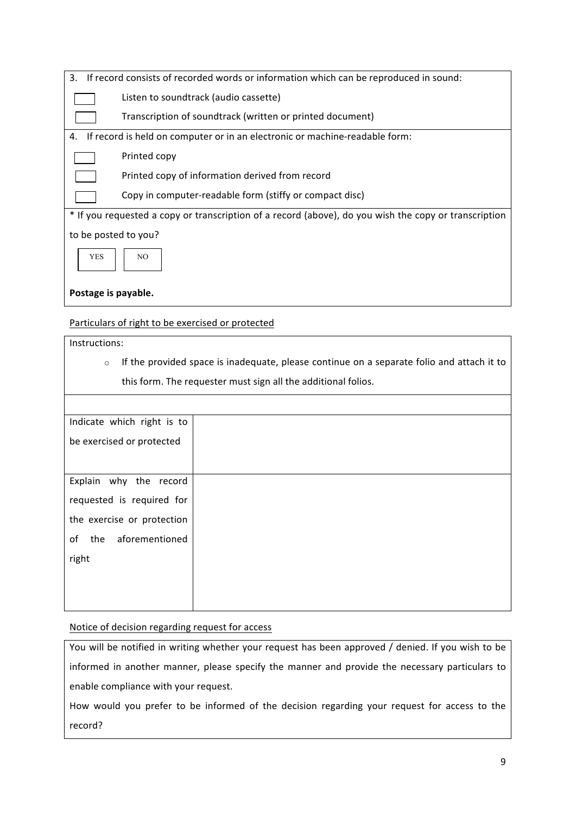| 3.<br>If record consists of recorded words or information which can be reproduced in sound:           |  |  |
|-------------------------------------------------------------------------------------------------------|--|--|
| Listen to soundtrack (audio cassette)                                                                 |  |  |
| Transcription of soundtrack (written or printed document)                                             |  |  |
| If record is held on computer or in an electronic or machine-readable form:<br>4.                     |  |  |
| Printed copy                                                                                          |  |  |
| Printed copy of information derived from record                                                       |  |  |
| Copy in computer-readable form (stiffy or compact disc)                                               |  |  |
| * If you requested a copy or transcription of a record (above), do you wish the copy or transcription |  |  |
| to be posted to you?                                                                                  |  |  |
| <b>YES</b><br>N <sub>O</sub>                                                                          |  |  |
| Postage is payable.                                                                                   |  |  |

Particulars of right to be exercised or protected

Instructions:

o If the provided space is inadequate, please continue on a separate folio and attach it to this form. The requester must sign all the additional folios.

| Indicate which right is to  |  |
|-----------------------------|--|
| be exercised or protected   |  |
|                             |  |
| Explain why the record      |  |
| requested is required for   |  |
| the exercise or protection  |  |
| aforementioned<br>of<br>the |  |
| right                       |  |
|                             |  |
|                             |  |
|                             |  |

# Notice of decision regarding request for access

You will be notified in writing whether your request has been approved / denied. If you wish to be informed in another manner, please specify the manner and provide the necessary particulars to enable compliance with your request.

How would you prefer to be informed of the decision regarding your request for access to the record?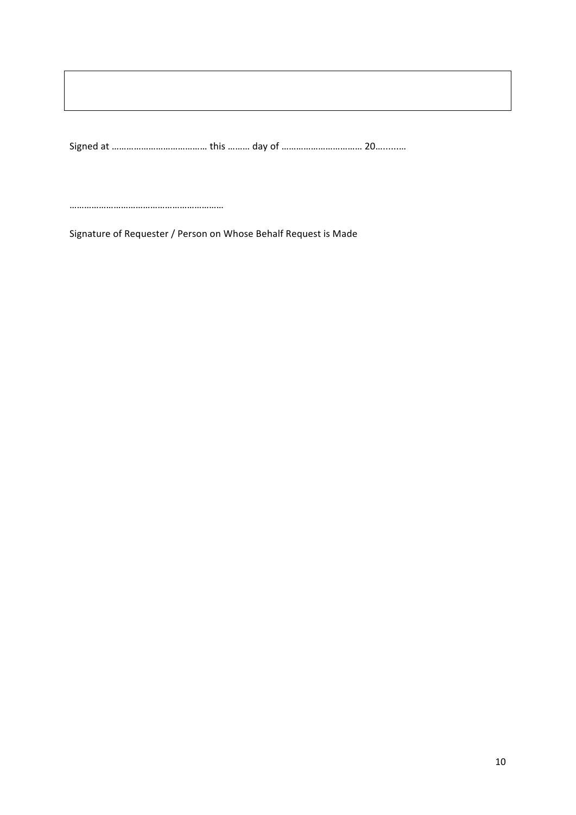Signed at ………………………………………………… this ……… day of …………………………………………… 20…………

………………………………………………………

Signature of Requester / Person on Whose Behalf Request is Made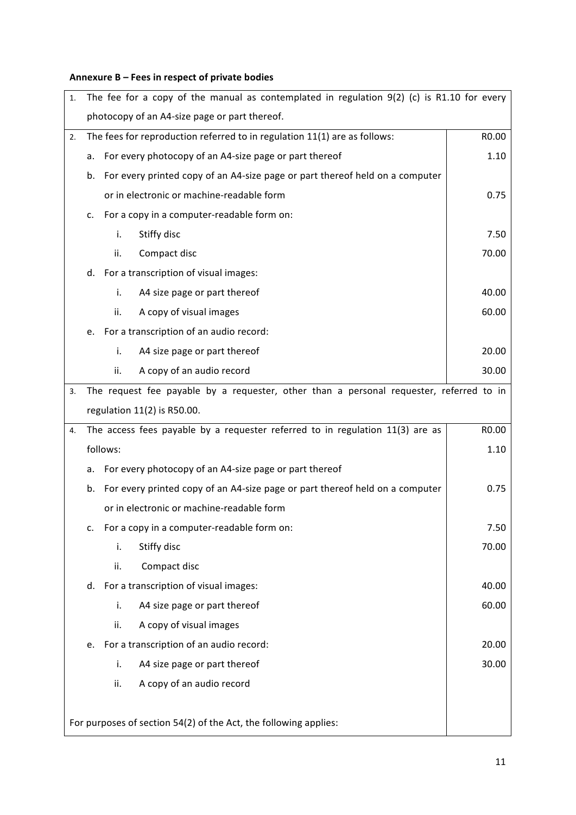# Annexure B – Fees in respect of private bodies

| 1.                                                               |                                                                                         | The fee for a copy of the manual as contemplated in regulation $9(2)$ (c) is R1.10 for every |                                         |       |  |
|------------------------------------------------------------------|-----------------------------------------------------------------------------------------|----------------------------------------------------------------------------------------------|-----------------------------------------|-------|--|
|                                                                  |                                                                                         | photocopy of an A4-size page or part thereof.                                                |                                         |       |  |
| 2.                                                               | The fees for reproduction referred to in regulation 11(1) are as follows:               |                                                                                              |                                         | R0.00 |  |
|                                                                  | For every photocopy of an A4-size page or part thereof<br>a.                            |                                                                                              |                                         |       |  |
|                                                                  | b.                                                                                      | For every printed copy of an A4-size page or part thereof held on a computer                 |                                         |       |  |
|                                                                  | or in electronic or machine-readable form                                               |                                                                                              |                                         |       |  |
|                                                                  | c.                                                                                      | For a copy in a computer-readable form on:                                                   |                                         |       |  |
|                                                                  |                                                                                         | i.                                                                                           | Stiffy disc                             | 7.50  |  |
|                                                                  |                                                                                         | ii.                                                                                          | Compact disc                            | 70.00 |  |
|                                                                  | d.                                                                                      |                                                                                              | For a transcription of visual images:   |       |  |
|                                                                  |                                                                                         | i.                                                                                           | A4 size page or part thereof            | 40.00 |  |
|                                                                  |                                                                                         | ii.                                                                                          | A copy of visual images                 | 60.00 |  |
|                                                                  | е.                                                                                      |                                                                                              | For a transcription of an audio record: |       |  |
|                                                                  |                                                                                         | i.                                                                                           | A4 size page or part thereof            | 20.00 |  |
|                                                                  |                                                                                         | ii.                                                                                          | A copy of an audio record               | 30.00 |  |
| 3.                                                               | The request fee payable by a requester, other than a personal requester, referred to in |                                                                                              |                                         |       |  |
|                                                                  | regulation 11(2) is R50.00.                                                             |                                                                                              |                                         |       |  |
| 4.                                                               | The access fees payable by a requester referred to in regulation 11(3) are as           |                                                                                              |                                         | R0.00 |  |
|                                                                  | follows:                                                                                |                                                                                              |                                         | 1.10  |  |
|                                                                  | For every photocopy of an A4-size page or part thereof<br>a.                            |                                                                                              |                                         |       |  |
|                                                                  | For every printed copy of an A4-size page or part thereof held on a computer<br>b.      |                                                                                              | 0.75                                    |       |  |
|                                                                  | or in electronic or machine-readable form                                               |                                                                                              |                                         |       |  |
|                                                                  | For a copy in a computer-readable form on:<br>C.                                        |                                                                                              | 7.50                                    |       |  |
|                                                                  |                                                                                         | i.                                                                                           | Stiffy disc                             | 70.00 |  |
|                                                                  |                                                                                         | ii.                                                                                          | Compact disc                            |       |  |
|                                                                  | d.                                                                                      |                                                                                              | For a transcription of visual images:   | 40.00 |  |
|                                                                  |                                                                                         | i.                                                                                           | A4 size page or part thereof            | 60.00 |  |
|                                                                  |                                                                                         | ii.                                                                                          | A copy of visual images                 |       |  |
|                                                                  | e.                                                                                      | For a transcription of an audio record:                                                      |                                         |       |  |
|                                                                  |                                                                                         | i.                                                                                           | A4 size page or part thereof            | 30.00 |  |
|                                                                  |                                                                                         | ii.                                                                                          | A copy of an audio record               |       |  |
|                                                                  |                                                                                         |                                                                                              |                                         |       |  |
| For purposes of section 54(2) of the Act, the following applies: |                                                                                         |                                                                                              |                                         |       |  |